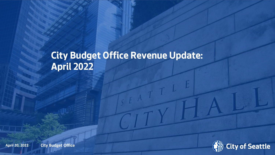# **City Budget Office Revenue Update: April 2022**



April 20, 2022 **Xialy Department Name 1 City Budget Office**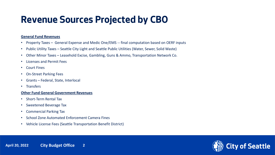## **Revenue Sources Projected by CBO**

#### **General Fund Revenues**

- Property Taxes General Expense and Medic One/EMS -- final computation based on OERF inputs
- Public Utility Taxes Seattle City Light and Seattle Public Utilities (Water, Sewer, Solid Waste)
- Other Minor Taxes Leasehold Excise, Gambling, Guns & Ammo, Transportation Network Co.
- Licenses and Permit Fees
- Court Fines
- On-Street Parking Fees
- Grants Federal, State, Interlocal
- Transfers

#### **Other Fund General Government Revenues**

- Short-Term Rental Tax
- Sweetened Beverage Tax
- Commercial Parking Tax
- School Zone Automated Enforcement Camera Fines
- Vehicle License Fees (Seattle Transportation Benefit District)



April 20, 2022 **City Budget Office** 2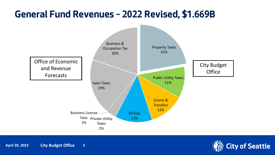## **General Fund Revenues – 2022 Revised, \$1.669B**



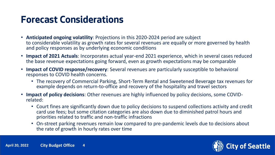#### **Forecast Considerations**

- **Anticipated ongoing volatility**: Projections in this 2020-2024 period are subject to considerable volatility as growth rates for several revenues are equally or more governed by health and policy responses as by underlying economic conditions
- **Impact of 2021 Actuals**: Incorporates actual year-end 2021 experience, which in several cases reduced the base revenue expectations going forward, even as growth expectations may be comparable
- **Impact of COVID response/recovery**: Several revenues are particularly susceptible to behavioral responses to COVID health concerns.
	- The recovery of Commercial Parking, Short-Term Rental and Sweetened Beverage tax revenues for example depends on return-to-office and recovery of the hospitality and travel sectors
- **Impact of policy decisions**: Other revenues are highly influenced by policy decisions, some COVIDrelated:
	- Court fines are significantly down due to policy decisions to suspend collections activity and credit card use fees; but some citation categories are also down due to diminished patrol hours and priorities related to traffic and non-traffic infractions
	- On-street parking revenues remain low compared to pre-pandemic levels due to decisions about the rate of growth in hourly rates over time

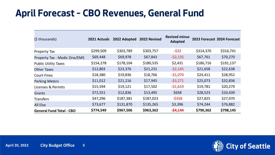## **April Forecast – CBO Revenues, General Fund**

| (\$ thousands)                      | 2021 Actuals | 2022 Adopted | 2022 Revised | <b>Revised minus</b><br>Adopted |           | 2023 Forecast 2024 Forecast |
|-------------------------------------|--------------|--------------|--------------|---------------------------------|-----------|-----------------------------|
| <b>Property Tax</b>                 | \$299,509    | \$303,789    | \$303,757    | $-532$                          | \$314,370 | \$316,741                   |
| <b>Property Tax - Medic One/EMS</b> | \$69,448     | \$69,978     | \$67,843     | $-52,135$                       | \$67,761  | \$70,270                    |
| <b>Public Utility Taxes</b>         | \$154,278    | \$178,104    | \$180,535    | \$2,431                         | \$186,716 | \$191,137                   |
| <b>Other Taxes</b>                  | \$12,803     | \$23,376     | \$21,231     | $-52,145$                       | \$21,658  | \$22,638                    |
| <b>Court Fines</b>                  | \$18,380     | \$19,836     | \$18,766     | $-$1,070$                       | \$24,411  | \$28,952                    |
| <b>Parking Meters</b>               | \$11,012     | \$21,216     | \$17,945     | $-53,271$                       | \$25,073  | \$32,836                    |
| Licenses & Permits                  | \$15,594     | \$19,121     | \$17,502     | $-51,619$                       | \$19,781  | \$20,279                    |
| <b>Grants</b>                       | \$72,551     | \$12,836     | \$13,495     | \$658                           | \$28,523  | \$10,439                    |
| <b>Transfers</b>                    | \$47,296     | \$187,381    | \$187,023    | $-5358$                         | \$27,825  | \$27,970                    |
| <b>All Else</b>                     | \$73,677     | \$131,870    | \$135,265    | \$3,396                         | \$74,244  | \$76,882                    |
| <b>General Fund Total - CBO</b>     | \$774,549    | \$967,506    | \$963,362    | $-54,144$                       | \$790,362 | \$798,145                   |

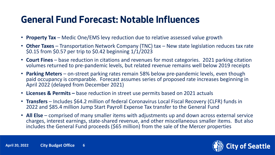## **General Fund Forecast: Notable Influences**

- **Property Tax** Medic One/EMS levy reduction due to relative assessed value growth
- **Other Taxes**  Transportation Network Company (TNC) tax New state legislation reduces tax rate \$0.15 from \$0.57 per trip to \$0.42 beginning 1/1/2023
- **Court Fines**  base reduction in citations and revenues for most categories. 2021 parking citation volumes returned to pre-pandemic levels, but related revenue remains well below 2019 receipts
- **Parking Meters**  on-street parking rates remain 58% below pre-pandemic levels, even though paid occupancy is comparable. Forecast assumes series of proposed rate increases beginning in April 2022 (delayed from December 2021)
- **Licenses & Permits –** base reduction in street use permits based on 2021 actuals
- **Transfers**  Includes \$64.2 million of federal Coronavirus Local Fiscal Recovery (CLFR) funds in 2022 and \$85.4 million Jump Start Payroll Expense Tax transfer to the General Fund
- **All Else** comprised of many smaller items with adjustments up and down across external service charges, interest earnings, state-shared revenue, and other miscellaneous smaller items. But also includes the General Fund proceeds (\$65 million) from the sale of the Mercer properties

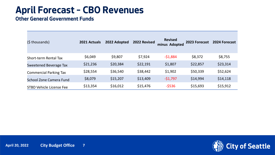## **April Forecast – CBO Revenues**

#### **Other General Government Funds**

| (\$ thousands)                  | 2021 Actuals | 2022 Adopted | 2022 Revised | <b>Revised</b><br>minus Adopted | 2023 Forecast | 2024 Forecast |
|---------------------------------|--------------|--------------|--------------|---------------------------------|---------------|---------------|
| <b>Short-term Rental Tax</b>    | \$6,049      | \$9,807      | \$7,924      | $-51,884$                       | \$8,372       | \$8,755       |
| <b>Sweetened Beverage Tax</b>   | \$21,236     | \$20,384     | \$22,191     | \$1,807                         | \$22,857      | \$23,314      |
| <b>Commercial Parking Tax</b>   | \$28,554     | \$36,540     | \$38,442     | \$1,902                         | \$50,339      | \$52,624      |
| School Zone Camera Fund         | \$8,079      | \$15,207     | \$13,409     | $-51,797$                       | \$14,994      | \$14,118      |
| <b>STBD Vehicle License Fee</b> | \$13,354     | \$16,012     | \$15,476     | $-5536$                         | \$15,693      | \$15,912      |

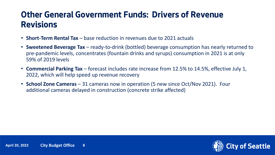#### **Other General Government Funds: Drivers of Revenue Revisions**

- **Short-Term Rental Tax** base reduction in revenues due to 2021 actuals
- **Sweetened Beverage Tax** ready-to-drink (bottled) beverage consumption has nearly returned to pre-pandemic levels, concentrates (fountain drinks and syrups) consumption in 2021 is at only 59% of 2019 levels
- **Commercial Parking Tax** forecast includes rate increase from 12.5% to 14.5%, effective July 1, 2022, which will help speed up revenue recovery
- **School Zone Cameras** 31 cameras now in operation (5 new since Oct/Nov 2021). Four additional cameras delayed in construction (concrete strike affected)

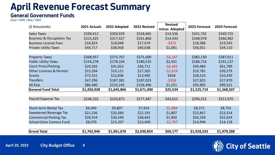## **April Revenue Forecast Summary**

#### **General Government Funds**

*(Grey = OERF / Blue = CBO)*

| (\$ thousands)                       | 2021 Actuals | 2022 Adopted | 2022 Revised | <b>Revised</b><br>minus Adopted | 2023 Forecast | 2024 Forecast |
|--------------------------------------|--------------|--------------|--------------|---------------------------------|---------------|---------------|
| <b>Sales Taxes</b>                   | \$299,412    | \$303,929    | \$318,465    | \$14,536                        | \$331,742     | \$349,725     |
| <b>Business &amp; Occupation Tax</b> | \$315,425    | \$317,427    | \$331,860    | \$14,433                        | \$348,978     | \$366,982     |
| <b>Business License Fees</b>         | \$16,824     | \$18,048     | \$17,674     | $-5373$                         | \$18,586      | \$19,545      |
| <b>Private Utility Taxes</b>         | \$44,717     | \$38,958     | \$40,038     | \$1,081                         | \$36,051      | \$34,110      |
|                                      |              |              |              |                                 |               |               |
| <b>Property Taxes</b>                | \$368,957    | \$373,767    | \$371,600    | $-52,167$                       | \$382,130     | \$387,011     |
| <b>Public Utility Taxes</b>          | \$154,278    | \$178,104    | \$180,535    | \$2,431                         | \$186,716     | \$191,137     |
| <b>Court Fines/Parking</b>           | \$29,392     | \$41,052     | \$36,711     | $-54,341$                       | \$49,484      | \$61,789      |
| <b>Other Licenses &amp; Permits</b>  | \$15,594     | \$19,121     | \$17,502     | $-51,619$                       | \$19,781      | \$20,279      |
| Grants                               | \$72,551     | \$12,836     | \$13,495     | \$658                           | \$28,523      | \$10,439      |
| <b>Transfers</b>                     | \$47,296     | \$187,381    | \$187,023    | $-5358$                         | \$27,825      | \$27,970      |
| <b>All Else</b>                      | \$86,480     | \$155,245    | \$156,496    | \$1,251                         | \$95,902      | \$99,521      |
| <b>General Fund Total</b>            | \$1,450,928  | \$1,645,866  | \$1,671,400  | \$25,534                        | \$1,525,719   | \$1,568,507   |
|                                      |              |              |              |                                 |               |               |
| Payroll Expense Tax                  | \$248,102    | \$233,872    | \$277,487    | \$43,615                        | \$296,252     | \$311,970     |
|                                      |              |              |              |                                 |               |               |
| <b>Short-term Rental Tax</b>         | \$6,049      | \$9,807      | \$7,924      | $-51,884$                       | \$8,372       | \$8,755       |
| <b>Sweetened Beverage Tax</b>        | \$21,236     | \$20,384     | \$22,191     | \$1,807                         | \$22,857      | \$23,314      |
| <b>Commercial Parking Tax</b>        | \$28,554     | \$36,540     | \$38,442     | \$1,902                         | \$50,339      | \$52,624      |
| <b>School Zone Camera Fund</b>       | \$8,079      | \$15,207     | \$13,409     | -\$1,797                        | \$14,994      | \$14,118      |
|                                      |              |              |              |                                 |               |               |
| <b>Grand Total</b>                   | \$1,762,946  | \$1,961,676  | \$2,030,854  | \$69,177                        | \$1,918,533   | \$1,979,288   |



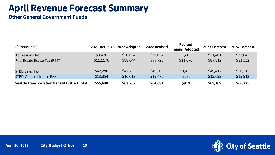## **April Revenue Forecast Summary**

**Other General Government Funds**

| (\$ thousands)                                       | 2021 Actuals | 2022 Adopted | 2022 Revised | <b>Revised</b><br>minus Adopted | 2023 Forecast | 2024 Forecast |
|------------------------------------------------------|--------------|--------------|--------------|---------------------------------|---------------|---------------|
| <b>Admissions Tax</b>                                | \$9,476      | \$20,054     | \$20,054     | \$0                             | \$21,401      | \$22,043      |
| Real Estate Excise Tax (REET)                        | \$112,176    | \$88,044     | \$99,720     | \$11,676                        | \$87,812      | \$82,552      |
| <b>STBD Sales Tax</b>                                | \$42,286     | \$47,755     | \$49,205     | \$1,450                         | \$49,417      | \$50,313      |
| <b>STBD Vehicle License Fee</b>                      | \$13,354     | \$16,012     | \$15,476     | $-5536$                         | \$15,693      | \$15,912      |
| <b>Seattle Transportation Benefit District Total</b> | \$55,640     | \$63,767     | \$64,681     | \$914                           | \$65,109      | \$66,225      |